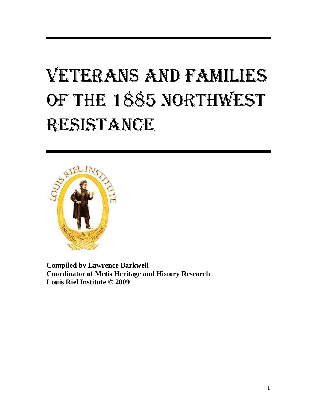# VETERANS AND FAMILIES OF THE 1885 NORTHWEST RESISTANCE



**Compiled by Lawrence Barkwell Coordinator of Metis Heritage and History Research Louis Riel Institute © 2009**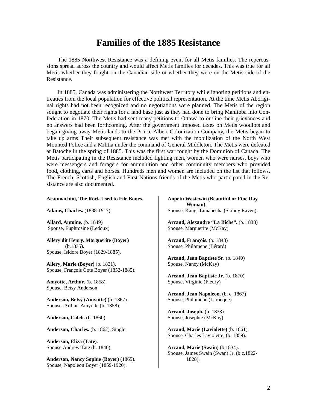# **Families of the 1885 Resistance**

The 1885 Northwest Resistance was a defining event for all Metis families. The repercussions spread across the country and would affect Metis families for decades. This was true for all Metis whether they fought on the Canadian side or whether they were on the Metis side of the Resistance.

In 1885, Canada was administering the Northwest Territory while ignoring petitions and entreaties from the local population for effective political representation. At the time Metis Aboriginal rights had not been recognized and no negotiations were planned. The Metis of the region sought to negotiate their rights for a land base just as they had done to bring Manitoba into Confederation in 1870. The Metis had sent many petitions to Ottawa to outline their grievances and no answers had been forthcoming. After the government imposed taxes on Metis woodlots and began giving away Metis lands to the Prince Albert Colonization Company, the Metis began to take up arms Their subsequent resistance was met with the mobilization of the North West Mounted Police and a Militia under the command of General Middleton. The Metis were defeated at Batoche in the spring of 1885. This was the first war fought by the Dominion of Canada. The Metis participating in the Resistance included fighting men, women who were nurses, boys who were messengers and foragers for ammunition and other community members who provided food, clothing, carts and horses. Hundreds men and women are included on the list that follows. The French, Scottish, English and First Nations friends of the Metis who participated in the Resistance are also documented.

#### **Acanmachini, The Rock Used to File Bones.**

**Adams, Charles.** (1838-1917)

**Allard, Antoine.** (b. 1849) Spouse, Euphrosine (Ledoux)

**Allery dit Henry. Marguerite (Boyer)**  (b.1835)**.** Spouse, Isidore Boyer (1829-1885).

**Allery, Marie (Boyer)** (b. 1821). Spouse, François Cote Boyer (1852-1885).

**Amyotte, Arthur.** (b. 1858) Spouse, Betsy Anderson

**Anderson, Betsy (Amyotte)** (b. 1867). Spouse, Arthur. Amyotte (b. 1858).

**Anderson, Caleb.** (b. 1860)

**Anderson, Charles.** (b. 1862). Single

**Anderson, Eliza (Tate)**. Spouse Andrew Tate (b. 1840).

**Anderson, Nancy Sophie (Boyer)** (1865). Spouse, Napoleon Boyer (1859-1920).

#### **Anpetu Wastewin (Beautiful or Fine Day Woman)**. Spouse, Kangi Tamahecha (Skinny Raven).

**Arcand, Alexandre "La Biche".** (b. 1838) Spouse, Marguerite (McKay)

**Arcand, François.** (b. 1843) Spouse, Philomene (Bérard)

**Arcand, Jean Baptiste Sr.** (b. 1840) Spouse, Nancy (McKay)

**Arcand, Jean Baptiste Jr.** (b. 1870) Spouse, Virginie (Fleury)

**Arcand, Jean Napoleon.** (b. c. 1867) Spouse, Philomene (Larocque)

**Arcand, Joseph.** (b. 1833) Spouse, Josephte (McKay)

**Arcand, Marie (Laviolette)** (b. 1861). Spouse, Charles Laviolette, (b. 1859).

**Arcand, Marie (Swain)** (b.1834). Spouse, James Swain (Swan) Jr. (b.c.1822- 1828).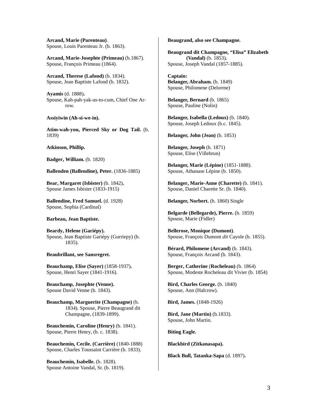**Arcand, Marie (Parenteau)**. Spouse, Louis Parenteau Jr. (b. 1863).

**Arcand, Marie-Josephte (Primeau)** (b.1867). Spouse, François Primeau (1864).

**Arcand, Therese (Lafond)** (b. 1834). Spouse, Jean Baptiste Lafond (b. 1832).

**Ayamis** (d. 1888)**.** Spouse, Kah-pah-yak-as-to-cum, Chief One Arrow.

**Assiyiwin (Ah-si-we-in).** 

**Atim-wah-you, Pierced Sky or Dog Tail.** (b. 1839)

**Atkinson, Phillip.** 

**Badger, William.** (b. 1820)

**Ballenden (Ballendine), Peter.** (1836-1885)

**Bear, Margaret (Isbister)** (b. 1842)**.** Spouse James Isbister (1833-1915)

**Ballendine, Fred Samuel.** (d. 1928) Spouse, Sophia (Cardinal)

**Barbeau, Jean Baptiste.** 

**Beardy, Helene (Gariépy).** Spouse, Jean Baptiste Gariépy (Gurriepy) (b. 1835).

#### **Beaubrillant, see Sansregret.**

**Beauchamp, Elise (Sayer)** (1858-1937)**.** Spouse, Henri Sayer (1841-1916).

**Beauchamp, Josephte (Venne).**  Spouse David Venne (b. 1843).

**Beauchamp, Marguerite (Champagne)** (b. 1834). Spouse, Pierre Beaugrand dit Champagne, (1839-1899).

**Beauchemin, Caroline (Henry)** (b. 1841). Spouse, Pierre Henry, (b. c. 1838).

**Beauchemin, Cecile. (Carrière)** (1840-1888) Spouse, Charles Toussaint Carrière (b. 1833).

**Beauchemin, Isabelle.** (b. 1828). Spouse Antoine Vandal, Sr. (b. 1819). **Beaugrand, also see Champagne.**

**Beaugrand dit Champagne, "Elisa" Elizabeth (Vandal)** (b. 1853)**.** Spouse, Joseph Vandal (1857-1885).

**Captain: Belanger, Abraham.** (b. 1849) Spouse, Philomene (Delorme)

**Belanger, Bernard** (b. 1865) Spouse, Pauline (Nolin)

**Belanger, Isabella (Ledoux)** (b. 1840). Spouse, Joseph Ledoux (b.c. 1845).

**Belanger, John (Jean)** (b. 1853)

**Belanger, Joseph** (b. 1871) Spouse, Elise (Villebrun)

**Belanger, Marie (Lépine)** (1851-1888). Spouse, Athanase Lépine (b. 1850).

**Belanger, Marie-Anne (Charette)** (b. 1841). Spouse, Daniel Charette Sr. (b. 1840).

**Belanger, Norbert.** (b. 1860) Single

**Belgarde (Bellegarde), Pierre.** (b. 1859) Spouse, Marie (Fidler)

**Bellerose, Monique (Dumont)**. Spouse, François Dumont *dit* Cayole (b. 1855).

**Bérard, Philomene (Arcand)** (b. 1843). Spouse, François Arcand (b. 1843).

**Berger, Catherine** (**Rocheleau)** (b. 1864) Spouse, Modeste Rocheleau dit Vivier (b. 1854)

**Bird, Charles George.** (b. 1840) Spouse, Ann (Halcrow).

**Bird, James.** (1848-1926)

**Bird, Jane (Martin)** (b.1833). Spouse, John Martin.

**Biting Eagle.** 

**Blackbird (Zitkanasapa).** 

**Black Bull, Tatanka-Sapa** (d. 1897)**.**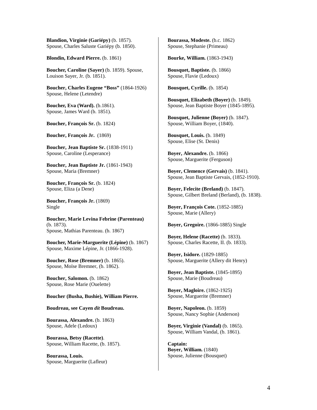**Blandion, Virginie (Gariépy)** (b. 1857). Spouse, Charles Saluste Gariépy (b. 1850).

**Blondin, Edward Pierre.** (b. 1861)

**Boucher, Caroline (Sayer)** (b. 1859). Spouse, Louison Sayer, Jr. (b. 1851).

**Boucher, Charles Eugene "Boss"** (1864-1926) Spouse, Helene (Letendre)

**Boucher, Eva (Ward).** (b.1861). Spouse, James Ward (b. 1851).

**Boucher, François Sr.** (b. 1824)

**Boucher, François Jr.** (1869)

**Boucher, Jean Baptiste Sr.** (1838-1911) Spouse, Caroline (Lesperance)

**Boucher, Jean Baptiste Jr.** (1861-1943) Spouse, Maria (Bremner)

**Boucher, François Sr.** (b. 1824) Spouse, Eliza (a Dene)

**Boucher, François Jr.** (1869) Single

**Boucher, Marie Levina Febrine (Parenteau)**  (b. 1873). Spouse, Mathias Parenteau. (b. 1867)

**Boucher, Marie-Marguerite (Lépine)** (b. 1867) Spouse, Maxime Lépine, Jr. (1866-1928).

**Boucher, Rose (Bremner)** (b. 1865). Spouse, Moïse Bremner, (b. 1862).

**Boucher, Salomon.** (b. 1862) Spouse, Rose Marie (Ouelette)

#### **Boucher (Busha, Bushie), William Pierre.**

**Boudreau, see Cayen** *dit* **Boudreau.** 

**Bourassa, Alexandre.** (b. 1863) Spouse, Adele (Ledoux)

**Bourassa, Betsy (Racette)**. Spouse, William Racette, (b. 1857).

**Bourassa, Louis.**  Spouse, Marguerite (Lafleur) **Bourassa, Modeste.** (b.c. 1862) Spouse, Stephanie (Primeau)

**Bourke, William.** (1863-1943)

**Bousquet, Baptiste.** (b. 1866) Spouse, Flavie (Ledoux)

**Bousquet, Cyrille.** (b. 1854)

**Bousquet, Elizabeth (Boyer)** (b. 1849). Spouse, Jean Baptiste Boyer (1845-1895).

**Bousquet, Julienne (Boyer)** (b. 1847). Spouse, William Boyer, (1840).

**Bousquet, Louis.** (b. 1849) Spouse, Elise (St. Denis)

**Boyer, Alexandre.** (b. 1866) Spouse, Marguerite (Ferguson)

**Boyer, Clemence (Gervais)** (b. 1841). Spouse, Jean Baptiste Gervais, (1852-1910).

**Boyer, Felecite (Breland)** (b. 1847). Spouse, Gilbert Breland (Berland), (b. 1838).

**Boyer, François Cote.** (1852-1885) Spouse, Marie (Allery)

**Boyer, Gregoire.** (1866-1885) Single

**Boyer, Helene (Racette)** (b. 1833). Spouse, Charles Racette, II. (b. 1833).

**Boyer, Isidore.** (1829-1885) Spouse, Marguerite (Allery dit Henry)

**Boyer, Jean Baptiste.** (1845-1895) Spouse, Marie (Boudreau)

**Boyer, Magloire.** (1862-1925) Spouse, Marguerite (Bremner)

**Boyer, Napoleon.** (b. 1859) Spouse, Nancy Sophie (Anderson)

**Boyer, Virginie (Vandal)** (b. 1865). Spouse, William Vandal, (b. 1861).

**Captain: Boyer, William.** (1840) Spouse, Julienne (Bousquet)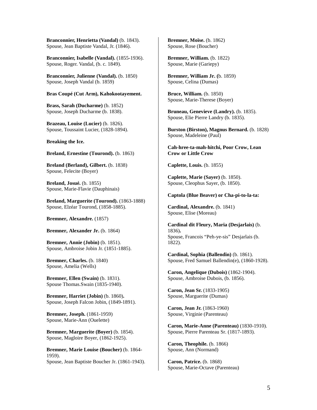**Branconnier, Henrietta (Vandal)** (b. 1843). Spouse, Jean Baptiste Vandal, Jr. (1846).

**Branconnier, Isabelle (Vandal).** (1855-1936). Spouse, Roger. Vandal, (b. c. 1849).

**Branconnier, Julienne (Vandal).** (b. 1850) Spouse, Joseph Vandal (b. 1859)

#### **Bras Coupé (Cut Arm), Kahokootayement.**

**Brass, Sarah (Ducharme)** (b. 1852) Spouse, Joseph Ducharme (b. 1838).

**Brazeau, Louise (Lucier)** (b. 1826). Spouse, Toussaint Lucier, (1828-1894).

**Breaking the Ice.** 

**Breland, Ernestine (Tourond).** (b. 1863)

**Breland (Berland), Gilbert.** (b. 1838) Spouse, Felecite (Boyer)

**Breland, Josué.** (b. 1855) Spouse, Marie-Flavie (Dauphinais)

**Breland, Marguerite (Tourond).** (1863-1888) Spouse, Elzéar Tourond, (1858-1885).

**Bremner, Alexandre.** (1857)

**Bremner, Alexander Jr.** (b. 1864)

**Bremner, Annie (Jobin)** (b. 1851). Spouse, Ambroise Jobin Jr. (1851-1885).

**Bremner, Charles.** (b. 1840) Spouse, Amelia (Wells)

**Bremner, Ellen (Swain)** (b. 1831). Spouse Thomas.Swain (1835-1940).

**Bremner, Harriet (Jobin)** (b. 1860)**.** Spouse, Joseph Falcon Jobin, (1849-1891).

**Bremner, Joseph.** (1861-1959) Spouse, Marie-Ann (Ouelette)

**Bremner, Marguerite (Boyer)** (b. 1854). Spouse, Magloire Boyer, (1862-1925).

**Bremner, Marie Louise (Boucher)** (b. 1864- 1959). Spouse, Jean Baptiste Boucher Jr. (1861-1943). **Bremner, Moïse.** (b. 1862) Spouse, Rose (Boucher)

**Bremner, William.** (b. 1822) Spouse, Marie (Gariepy)

**Bremner, William Jr. (**b. 1859) Spouse, Celina (Dumas)

**Bruce, William.** (b. 1850) Spouse, Marie-Therese (Boyer)

**Bruneau, Genevieve (Landry).** (b. 1835). Spouse, Elie Pierre Landry (b. 1835).

**Burston (Birston), Magnus Bernard.** (b. 1828) Spouse, Madeleine (Paul)

**Cah-hree-ta-mah-hitchi, Poor Crow, Lean Crow or Little Crow**

**Caplette, Louis.** (b. 1855)

**Caplette, Marie (Sayer)** (b. 1850). Spouse, Cleophus Sayer, (b. 1850).

#### **Captola (Blue Beaver) or Cha-pi-to-la-ta:**

**Cardinal, Alexandre.** (b. 1841) Spouse, Elise (Moreau)

**Cardinal dit Fleury, Maria (Desjarlais)** (b. 1836)**.** Spouse, Francois "Peh-ye-sis" Desjarlais (b. 1822).

**Cardinal, Sophia (Ballendin)** (b. 1861). Spouse, Fred Samuel Ballendin(e), (1860-1928).

**Caron, Angelique (Dubois)** (1862-1904). Spouse, Ambroise Dubois, (b. 1856).

**Caron, Jean Sr.** (1833-1905) Spouse, Marguerite (Dumas)

**Caron, Jean Jr.** (1863-1960) Spouse, Virginie (Parenteau)

**Caron, Marie-Anne (Parenteau)** (1830-1910). Spouse, Pierre Parenteau Sr. (1817-1893).

**Caron, Theophile.** (b. 1866) Spouse, Ann (Normand)

**Caron, Patrice.** (b. 1868) Spouse, Marie-Octave (Parenteau)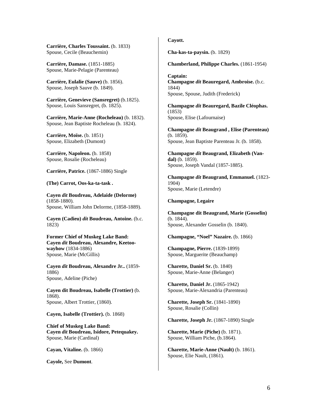**Carrière, Charles Toussaint.** (b. 1833) Spouse, Cecile (Beauchemin)

**Carrière, Damase.** (1851-1885) Spouse, Marie-Pelagie (Parenteau)

**Carrière, Eulalie (Sauve)** (b. 1856). Spouse, Joseph Sauve (b. 1849).

**Carrière, Genevieve (Sansregret)** (b.1825). Spouse, Louis Sansregret, (b. 1825).

**Carrière, Marie-Anne (Rocheleau)** (b. 1832). Spouse, Jean Baptiste Rocheleau (b. 1824).

**Carrière, Moïse.** (b. 1851) Spouse, Elizabeth (Dumont)

**Carrière, Napoleon.** (b. 1858) Spouse, Rosalie (Rocheleau)

**Carrière, Patrice.** (1867-1886) Single

**(The) Carrot, Oos-ka-ta-task .** 

**Cayen** *dit* **Boudreau, Adelaide (Delorme)** (1858-1880). Spouse, William John Delorme, (1858-1889).

**Cayen (Cadieu)** *dit* **Boudreau, Antoine.** (b.c. 1823)

**Former Chief of Muskeg Lake Band: Cayen** *dit* **Boudreau, Alexandre, Keetoowayhow** (1834-1886) Spouse, Marie (McGillis)

**Cayen** *dit* **Boudreau, Alexandre Jr..** (1859- 1886) Spouse, Adeline (Piche)

**Cayen dit Boudreau, Isabelle (Trottier)** (b. 1868). Spouse, Albert Trottier, (1860).

**Cayen, Isabelle (Trottier).** (b. 1868)

**Chief of Muskeg Lake Band: Cayen** *dit* **Boudreau, Isidore, Petequakey.**  Spouse, Marie (Cardinal)

**Cayan, Vitaline.** (b. 1866)

**Cayole,** See **Dumont**.

### **Cayott.**

**Cha-kas-ta-paysin.** (b. 1829)

**Chamberland, Philippe Charles.** (1861-1954)

**Captain: Champagne** *dit* **Beauregard, Ambroise.** (b.c. 1844) Spouse, Spouse, Judith (Frederick)

**Champagne** *dit* **Beauregard, Bazile Cléophas.**  (1853) Spouse, Elise (Lafournaise)

**Champagne** *dit* **Beaugrand , Elise (Parenteau)** (b. 1859). Spouse, Jean Baptiste Parenteau Jr. (b. 1858).

**Champagne** *dit* **Beaugrand, Elizabeth (Vandal)** (b. 1859). Spouse, Joseph Vandal (1857-1885).

**Champagne** *dit* **Beaugrand, Emmanuel.** (1823- 1904) Spouse, Marie (Letendre)

#### **Champagne, Legaire**

**Champagne dit Beaugrand, Marie (Gosselin)**  (b. 1844). Spouse, Alexander Gosselin (b. 1840).

**Champagne, "Noel" Nazaire.** (b. 1866)

**Champagne, Pierre.** (1839-1899) Spouse, Marguerite (Beauchamp)

**Charette, Daniel Sr.** (b. 1840) Spouse, Marie-Anne (Belanger)

**Charette, Daniel Jr.** (1865-1942) Spouse, Marie-Alexandria (Parenteau)

**Charette, Joseph Sr.** (1841-1890) Spouse, Rosalie (Collin)

**Charette, Joseph Jr.** (1867-1890) Single

**Charette, Marie (Piche)** (b. 1871). Spouse, William Piche, (b.1864).

**Charette, Marie-Anne (Nault)** (b. 1861). Spouse, Elie Nault, (1861).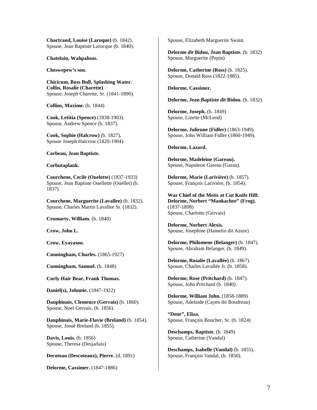**Chartrand, Louise (Laroque)** (b. 1842). Spouse, Jean Baptiste Larocque (b. 1840).

**Chatelain, Wahpahsos.** 

**Cheswepew's son.** 

**Chicicum, Boss Bull, Splashing Water. Collin, Rosalie (Charette)**. Spouse, Joseph Charette, Sr. (1841-1890).

**Collins, Maxime.** (b. 1844)

**Cook, Letitia (Spence)** (1838-1903). Spouse, Andrew Spence (b. 1837).

**Cook, Sophie (Halcrow)** (b. 1827)**.**  Spouse Joseph Halcrow (1820-1904).

**Corbeau, Jean Baptiste.** 

**Corbutaplank.** 

**Courchene, Cecile (Ouelette)** (1837-1933) Spouse, Jean Baptiste Ouellette (Ouellet) (b. 1837).

**Courchene, Marguerite (Lavallee)** (b. 1832). Spouse, Charles Martin Lavallee Sr. (1832).

**Cromarty, William.** (b. 1840)

**Crow, John L.** 

**Crow, Eyayasoo.** 

**Cunningham, Charles.** (1865-1927)

**Cunningham, Samuel.** (b. 1848)

**Curly Hair Bear, Frank Thomas.** 

**Daniel(s), Johnnie.** (1847-1922)

**Dauphinais, Clemence (Gervais)** (b. 1860). Spouse, Noel Gervais, (b. 1856).

**Dauphinais, Marie-Flavie (Breland)** (b. 1854). Spouse, Josué Breland (b. 1855).

**Davis, Louis.** (b. 1856) Spouse, Theresa (Desjarlais)

**Decoteau (Descoteaux), Pierre.** (d. 1891)

**Delorme, Cassimer.** (1847-1886)

Spouse, Elizabeth Marguerite Swain.

**Delorme** *dit* **Bidou, Jean Baptiste.** (b. 1832) Spouse, Marguerite (Pepin)

**Delorme, Catherine (Ross)** (b. 1825). Spouse, Donald Ross (1822-1885).

**Delorme, Cassimer.** 

**Delorme, Jean Baptiste** *dit* **Bidou.** (b. 1832)

**Delorme, Joseph.** (b. 1849) Spouse, Lizette (McLeod)

**Delorme, Julienne (Fidler)** (1863-1949). Spouse, John William Fidler (1860-1949).

**Delorme, Lazard.** 

**Delorme, Madeleine (Gareau).** Spouse, Napoleon Gareau (Garau).

**Delorme, Marie (Larivière)** (b. 1857). Spouse, François Larivière, (b. 1854).

**War Chief of the Metis at Cut Knife Hill: Delorme, Norbert "Mankachee" (Frog).**  (1837-1898) Spouse, Charlotte (Gervais)

**Delorme, Norbert Alexis.**  Spouse, Josephine (Hamelin dit Azure)

**Delorme, Philomene (Belanger)** (b. 1847). Spouse, Abraham Belanger, (b. 1849).

**Delorme, Rosalie (Lavallée)** (b. 1867). Spouse, Charles Lavallée Jr. (b. 1858).

**Delorme, Rose (Pritchard)** (b. 1847). Spouse, John Pritchard (b. 1840).

**Delorme, William John.** (1858-1889) Spouse, Adelaide (Cayen dit Boudreau)

**"Dene", Eliza.** Spouse, François Boucher, Sr. (b. 1824)

**Deschamps, Baptiste.** (b. 1849) Spouse, Catherine (Vandal)

**Deschamps, Isabelle (Vandal)** (b. 1855). Spouse, François Vandal, (b. 1850).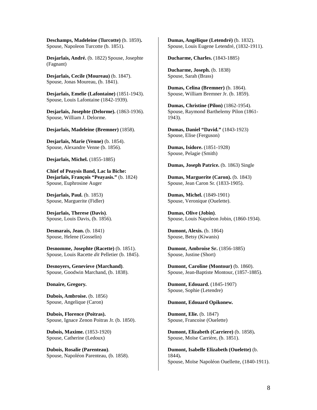**Deschamps, Madeleine (Turcotte)** (b. 1859)**.** Spouse, Napoleon Turcotte (b. 1851).

**Desjarlais, André.** (b. 1822) Spouse, Josephte (Fagnant)

**Desjarlais, Cecile (Moureau)** (b. 1847). Spouse, Jonas Moureau, (b. 1841).

**Desjarlais, Emelie (Lafontaine)** (1851-1943). Spouse, Louis Lafontaine (1842-1939).

**Desjarlais, Josephte (Delorme).** (1863-1936). Spouse, William J. Delorme.

**Desjarlais, Madeleine (Bremner)** (1858).

**Desjarlais, Marie (Venne)** (b. 1854). Spouse, Alexandre Venne (b. 1856).

**Desjarlais, Michel.** (1855-1885)

**Chief of Peaysis Band, Lac la Biche: Desjarlais, François "Peayasis."** (b. 1824) Spouse, Euphrosine Auger

**Desjarlais, Paul.** (b. 1853) Spouse, Marguerite (Fidler)

**Desjarlais, Therese (Davis)**. Spouse, Louis Davis, (b. 1856).

**Desmarais, Jean.** (b. 1841) Spouse, Helene (Gosselin)

**Desnomme, Josephte (Racette)** (b. 1851). Spouse, Louis Racette *dit* Pelletier (b. 1845).

**Desnoyers, Genevieve (Marchand)**. Spouse, Goodwin Marchand, (b. 1838).

#### **Donaire, Gregory.**

**Dubois, Ambroise.** (b. 1856) Spouse, Angelique (Caron)

**Dubois, Florence (Poitras).** Spouse, Ignace Zenon Poitras Jr. (b. 1850).

**Dubois, Maxime.** (1853-1920) Spouse, Catherine (Ledoux)

**Dubois, Rosalie (Parenteau)**. Spouse, Napoléon Parenteau, (b. 1858). **Dumas, Angélique (Letendré)** (b. 1832). Spouse, Louis Eugene Letendré, (1832-1911).

**Ducharme, Charles.** (1843-1885)

**Ducharme, Joseph.** (b. 1838) Spouse, Sarah (Brass)

**Dumas, Celina (Bremner)** (b. 1864). Spouse, William Bremner Jr. (b. 1859).

**Dumas, Christine (Pilon)** (1862-1954). Spouse, Raymond Barthelemy Pilon (1861- 1943).

**Dumas, Daniel "David."** (1843-1923) Spouse, Elise (Ferguson)

**Dumas, Isidore.** (1851-1928) Spouse, Pelagie (Smith)

**Dumas, Joseph Patrice.** (b. 1863) Single

**Dumas, Marguerite (Caron).** (b. 1843) Spouse, Jean Caron Sr. (1833-1905).

**Dumas, Michel.** (1849-1901) Spouse, Veronique (Ouelette).

**Dumas, Olive (Jobin)**. Spouse, Louis Napoleon Jobin, (1860-1934).

**Dumont, Alexis.** (b. 1864) Spouse, Betsy (Kiwanis)

**Dumont, Ambroise Sr.** (1856-1885) Spouse, Justine (Short)

**Dumont, Caroline (Montour)** (b. 1860). Spouse, Jean-Baptiste Montour, (1857-1885).

**Dumont, Edouard.** (1845-1907) Spouse, Sophie (Letendre)

**Dumont, Edouard Opikonew.** 

**Dumont, Elie.** (b. 1847) Spouse, Francoise (Ouelette)

**Dumont, Elizabeth (Carriere)** (b. 1858)**.** Spouse, Moïse Carrière, (b. 1851).

**Dumont, Isabelle Elizabeth (Ouelette)** (b. 1844)**.** Spouse, Moïse Napoléon Ouellette, (1840-1911).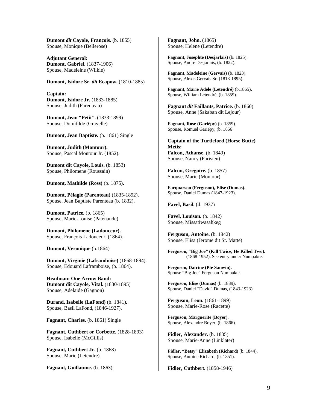**Dumont** *dit* **Cayole, François.** (b. 1855) Spouse, Monique (Bellerose)

**Adjutant General: Dumont, Gabriel.** (1837-1906) Spouse, Madeleine (Wilkie)

**Dumont, Isidore Sr.** *dit* **Ecapow.** (1810-1885)

**Captain: Dumont, Isidore Jr.** (1833-1885) Spouse, Judith (Parenteau)

**Dumont, Jean "Petit".** (1833-1899) Spouse, Domitilde (Gravelle)

**Dumont, Jean Baptiste.** (b. 1861) Single

**Dumont, Judith (Montour).** Spouse, Pascal Montour Jr. (1852).

**Dumont dit Cayole, Louis.** (b. 1853) Spouse, Philomene (Roussain)

**Dumont, Mathilde (Ross)** (b. 1875)**.**

**Dumont, Pélagie (Parenteau)** (1835-1892). Spouse, Jean Baptiste Parenteau (b. 1832).

**Dumont, Patrice.** (b. 1865) Spouse, Marie-Louise (Patenaude)

**Dumont, Philomene (Ladouceur).** Spouse, François Ladouceur, (1864).

**Dumont, Veronique** (b.1864)

**Dumont, Virginie (Laframboise)** (1868-1894). Spouse, Edouard Laframboise, (b. 1864).

**Headman: One Arrow Band: Dumont dit Cayole, Vital.** (1830-1895) Spouse, Adelaide (Gagnon)

**Durand, Isabelle (LaFond)** (b. 1841)**.** Spouse, Basil LaFond, (1846-1927).

**Fagnant, Charles.** (b. 1861) Single

**Fagnant, Cuthbert or Corbette.** (1828-1893) Spouse, Isabelle (McGillis)

**Fagnant, Cuthbert Jr.** (b. 1868) Spouse, Marie (Letendre)

**Fagnant, Guillaume.** (b. 1863)

**Fagnant, John.** (1865) Spouse, Helene (Letendre)

**Fagnant, Josephte (Desjarlais)** (b. 1825). Spouse, André Desjarlais, (b. 1822).

**Fagnant, Madeleine (Gervais)** (b. 1823). Spouse, Alexis Gervais Sr. (1818-1895).

**Fagnant, Marie Adele (Letendré)** (b.1865)**.** Spouse, William Letendré, (b. 1859).

**Fagnant** *dit* **Faillants, Patrice.** (b. 1860) Spouse, Anne (Sakaban dit Lejour)

**Fagnant, Rose (Gariépy)** (b. 1859). Spouse, Romuel Gariépy, (b. 1856

**Captain of the Turtleford (Horse Butte) Metis: Falcon, Athanse.** (b. 1849) Spouse, Nancy (Parisien)

**Falcon, Gregoire.** (b. 1857) Spouse, Marie (Montour)

**Farquarson (Ferguson), Elise (Dumas).**  Spouse, Daniel Dumas (1847-1923).

**Favel, Basil.** (d. 1937)

**Favel, Louison.** (b. 1842) Spouse, Missatiwasahkeg

**Ferguson, Antoine.** (b. 1842) Spouse, Elisa (Jerome dit St. Matte)

**Ferguson, "Big Joe" (Kill Twice, He Killed Two).**  (1868-1952). See entry under Numpakte.

**Ferguson, Datrine (Pte Sanwin).**  Spouse "Big Joe" Ferguson Numpakte.

**Ferguson, Elise (Dumas)** (b. 1839). Spouse, Daniel "David" Dumas, (1843-1923).

**Ferguson, Leon.** (1861-1899) Spouse, Marie-Rose (Racette)

**Ferguson, Marguerite (Boyer)**. Spouse, Alexandre Boyer, (b. 1866).

**Fidler, Alexander.** (b. 1835) Spouse, Marie-Anne (Linklater)

**Fidler, "Betsy" Elizabeth (Richard)** (b. 1844). Spouse, Antoine Richard, (b. 1851).

**Fidler, Cuthbert.** (1858-1946)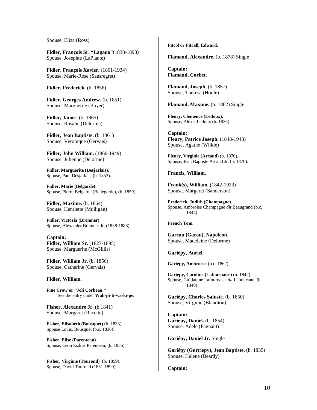Spouse, Eliza (Ross)

**Fidler, François Sr. "Lagaua"**(1838-1893) Spouse, Josephte (LaPlante)

**Fidler, François Xavier.** (1861-1934) Spouse, Marie-Rose (Sansregret)

**Fidler, Frederick.** (b. 1856)

**Fidler, Georges Andrew.** (b. 1851) Spouse, Marguerite (Boyer)

**Fidler, James.** (b. 1865) Spouse, Rosalie (Delorme)

**Fidler, Jean Baptiste.** (b. 1861) Spouse, Veronique (Gervais)

**Fidler, John William.** (1860-1949) Spouse, Julienne (Delorme)

**Fidler, Marguerite (Desjarlais)**. Spouse, Paul Desjarlais, (b. 1853).

**Fidler, Marie (Belgarde)**. Spouse, Pierre Belgarde (Bellegarde), (b. 1859).

**Fidler, Maxime.** (b. 1864) Spouse, Henriette (Mulligan)

**Fidler, Victoria (Bremner)**. Spouse, Alexander Bremner Jr. (1838-1888).

**Captain: Fidler, William Sr.** (1827-1895) Spouse, Marguerite (McGillis)

**Fidler, William Jr.** (b. 1856) Spouse, Catherine (Gervais)

#### **Fidler, William.**

**Fine Crow or "Joli Corbeau."**  See the entry under **Wah-pi-ti-wa-ki-pe.** 

**Fisher, Alexandre Jr.** (b.1841) Spouse, Margaret (Racette)

**Fisher, Elisabeth (Bousquet)** (b. 1833). Spouse Louis. Bousquet (b.c. 1836).

**Fisher, Elise (Parenteau)**. Spouse, Leon Esdras Parenteau, (b. 1856).

**Fisher, Virginie (Tourond)** (b. 1859). Spouse, David Tourond (1851-1890).

**Fitcol or Fitcall, Edward.** 

**Flamand, Alexandre.** (b. 1878) Single

**Captain: Flamand, Corbet.** 

**Flamand, Joseph.** (b. 1857) Spouse, Theresa (Houle)

**Flamand, Maxime.** (b. 1862) Single

**Fleury, Clemence (Ledoux).** Spouse, Alexis Ledoux (b. 1836).

**Captain: Fleury, Patrice Joseph.** (1848-1943) Spouse, Agathe (Wilkie)

**Fleury, Virginie (Arcand)** (b. 1870). Spouse, Jean Baptiste Arcand Jr. (b. 1870).

**Francis, William.** 

**Frank(s), William.** (1842-1923) Spouse, Margaret (Sanderson)

**Frederick, Judith (Champagne)**. Spouse, Ambroise Champagne *dit* Beaugrand (b.c. 1844).

**French Tom.** 

**Gareau (Garau), Napoleon.**  Spouse, Madeleine (Delorme)

**Gariépy, Auriel.** 

**Gariépy, Ambroise.** (b.c. 1862)

**Gariepy, Caroline (Lafournaise)** (b. 1842). Spouse, Guillaume Lafournaise *dit* Laboucane, (b. 1840).

**Gariépy, Charles Saluste.** (b. 1850) Spouse, Virginie (Blandion)

**Captain: Gariépy, Daniel.** (b. 1854) Spouse, Adele (Fagnant)

**Gariépy, Daniel Jr.** Single

**Gariépy (Gurriepy), Jean Baptiste.** (b. 1835) Spouse, Helene (Beardy)

**Captain:**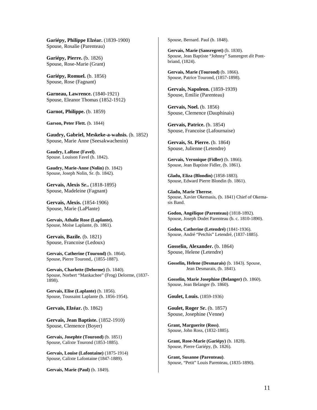**Gariépy, Philippe Elzéar.** (1839-1900) Spouse, Rosalie (Parenteau)

**Gariépy, Pierre.** (b. 1826) Spouse, Rose-Marie (Grant)

**Gariépy, Romuel.** (b. 1856) Spouse, Rose (Fagnant)

**Garneau, Lawrence.** (1840-1921) Spouse, Eleanor Thomas (1852-1912)

**Garnot, Philippe.** (b. 1859)

**Garson, Peter Flett.** (b. 1844)

**Gaudry, Gabriel, Meskeke-a-wahsis.** (b. 1852) Spouse, Marie Anne (Seesakwachenin)

**Gaudry, LaRose (Favel)**. Spouse. Louison Favel (b. 1842).

**Gaudry, Marie-Anne (Nolin)** (b. 1842) Spouse, Joseph Nolin, Sr. (b. 1842).

**Gervais, Alexis Sr..** (1818-1895) Spouse, Madeleine (Fagnant)

**Gervais, Alexis.** (1854-1906) Spouse, Marie (LaPlante)

**Gervais, Athalie Rose (Laplante).** Spouse, Moïse Laplante, (b. 1861).

**Gervais, Bazile.** (b. 1821) Spouse, Francoise (Ledoux)

**Gervais, Catherine (Tourond)** (b. 1864). Spouse, Pierre Tourond,. (1855-1887).

**Gervais, Charlotte (Delorme)** (b. 1840). Spouse, Norbert "Mankachee" (Frog) Delorme, (1837- 1898).

**Gervais, Elise (Laplante)** (b. 1856). Spouse, Toussaint Laplante (b. 1856-1954).

**Gervais, Elzéar.** (b. 1862)

**Gervais, Jean Baptiste.** (1852-1910) Spouse, Clemence (Boyer)

**Gervais, Josephte (Tourond)** (b. 1851) Spouse, Calixte Tourond (1853-1885).

**Gervais, Louise (Lafontaine)** (1875-1914) Spouse, Calixte Lafontaine (1847-1889).

**Gervais, Marie (Paul)** (b. 1849).

Spouse, Bernard. Paul (b. 1848).

**Gervais, Marie (Sansregret)** (b. 1830). Spouse, Jean Baptiste "Johnny" Sansregret *dit* Pontbriand, (1824).

**Gervais, Marie (Tourond)** (b. 1866). Spouse, Patrice Tourond, (1857-1898).

**Gervais, Napoleon.** (1859-1939) Spouse, Emilie (Parenteau)

**Gervais, Noel.** (b. 1856) Spouse, Clemence (Dauphinais)

**Gervais, Patrice.** (b. 1854) Spouse, Francoise (Lafournaise)

**Gervais, St. Pierre.** (b. 1864) Spouse, Julienne (Letendre)

**Gervais, Veronique (Fidler)** (b. 1866). Spouse, Jean Baptiste Fidler, (b. 1861).

**Gladu, Eliza (Blondin)** (1858-1883). Spouse, Edward Pierre Blondin (b. 1861).

**Gladu, Marie Therese**. Spouse, Xavier Okemasis, (b. 1841) Chief of Okemasis Band.

**Godon, Angélique (Parenteau)** (1818-1892). Spouse, Joseph Dodet Parenteau (b. c. 1810-1890).

**Godon, Catherine (Letendré)** (1841-1936). Spouse, André "Petchis" Letendré, (1837-1885).

**Gosselin, Alexander.** (b. 1864) Spouse, Helene (Letendre)

**Gosselin, Helene (Desmarais)** (b. 1843). Spouse, Jean Desmarais, (b. 1841).

**Gosselin, Marie Josephine (Belanger)** (b. 1860). Spouse, Jean Belanger (b. 1860).

**Goulet, Louis.** (1859-1936)

**Goulet, Roger Sr.** (b. 1857) Spouse, Josephine (Venne)

**Grant, Marguerite (Ross)**. Spouse, John Ross, (1832-1885).

**Grant, Rose-Marie (Gariépy)** (b. 1828). Spouse, Pierre Gariépy, (b. 1826).

**Grant, Susanne (Parenteau)**. Spouse, "Petit" Louis Parenteau, (1835-1890).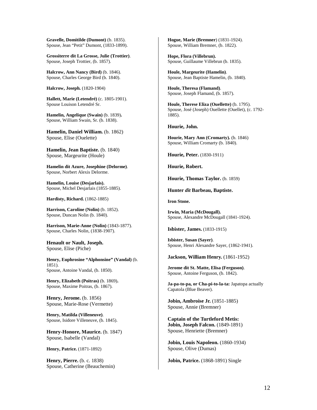**Gravelle, Domitilde (Dumont)** (b. 1835). Spouse, Jean "Petit" Dumont, (1833-1899).

**Grossiterre dit La Grosse, Julie (Trottier)**. Spouse, Joseph Trottier, (b. 1857).

**Halcrow, Ann Nancy (Bird)** (b. 1846). Spouse, Charles George Bird (b. 1840).

**Halcrow, Joseph.** (1820-1904)

**Hallett, Marie (Letendré)** (c. 1805-1901). Spouse Louison Letendré Sr.

**Hamelin, Angelique (Swain)** (b. 1839)**.** Spouse, William Swain, Sr. (b. 1838).

**Hamelin, Daniel William.** (b. 1862) Spouse, Elise (Ouelette)

**Hamelin, Jean Baptiste.** (b. 1840) Spouse, Margeurite (Houle)

**Hamelin dit Azure, Josephine (Delorme)**. Spouse, Norbert Alexis Delorme.

**Hamelin, Louise (Desjarlais).** Spouse, Michel Desjarlais (1855-1885).

**Hardisty, Richard.** (1862-1885)

**Harrison, Caroline (Nolin)** (b. 1852). Spouse, Duncan Nolin (b. 1840).

**Harrison, Marie-Anne (Nolin)** (1843-1877). Spouse, Charles Nolin, (1838-1907).

**Henault or Nault, Joseph.**  Spouse, Elise (Piche)

**Henry, Euphrosine "Alphonsine" (Vandal)** (b. 1851). Spouse, Antoine Vandal, (b. 1850).

**Henry, Elizabeth (Poitras)** (b. 1869)**.** Spouse, Maxime Poitras, (b. 1867).

**Henry, Jerome.** (b. 1856) Spouse, Marie-Rose (Vermette)

**Henry, Matilda (Villeneuve)**. Spouse, Isidore Villeneuve, (b. 1845).

**Henry-Honore, Maurice.** (b. 1847) Spouse, Isabelle (Vandal)

**Henry, Patrice.** (1871-1892)

**Henry, Pierre.** (b. c. 1838) Spouse, Catherine (Beauchemin)

**Hogue, Marie (Bremner**) (1831-1924). Spouse, William Bremner, (b. 1822).

**Hope, Flora (Villebrun).** Spouse, Guillaume Villebrun (b. 1835).

**Houle, Margeurite (Hamelin)**. Spouse, Jean Baptiste Hamelin, (b. 1840).

**Houle, Theresa (Flamand)**. Spouse, Joseph Flamand, (b. 1857).

**Houle, Therese Eliza (Ouellette)** (b. 1795). Spouse, José (Joseph) Ouellette (Ouellet), (c. 1792- 1885).

#### **Hourie, John.**

**Hourie, Mary Ann (Cromarty).** (b. 1846) Spouse, William Cromarty (b. 1840).

**Hourie, Peter.** (1830-1911)

**Hourie, Robert.** 

**Hourie, Thomas Taylor.** (b. 1859)

**Hunter** *dit* **Barbeau, Baptiste.** 

**Iron Stone.** 

**Irwin, Maria (McDougall).**  Spouse, Alexandre McDougall (1841-1924).

**Isbister, James.** (1833-1915)

**Isbister, Susan (Sayer)**. Spouse, Henri Alexandre Sayer, (1862-1941).

**Jackson, William Henry.** (1861-1952)

**Jerome dit St. Matte, Elisa (Ferguson)**. Spouse, Antoine Ferguson, (b. 1842).

**Ja-pa-to-pa, or Cha-pi-to-la-ta:** Japatopa actually Capatola (Blue Beaver).

**Jobin, Ambroise Jr.** (1851-1885) Spouse, Annie (Bremner)

**Captain of the Turtleford Metis: Jobin, Joseph Falcon.** (1849-1891) Spouse, Henriette (Bremner)

**Jobin, Louis Napoleon.** (1860-1934) Spouse, Olive (Dumas)

**Jobin, Patrice.** (1868-1891) Single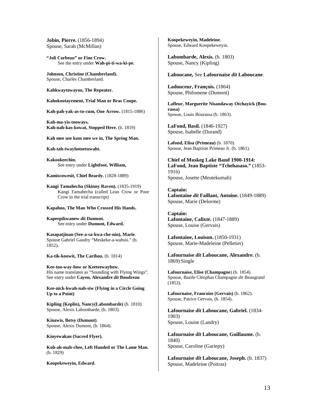**Jobin, Pierre.** (1856-1894) Spouse, Sarah (McMillan)

**"Joli Corbeau" or Fine Crow.**  See the entry under **Wah-pi-ti-wa-ki-pe.** 

**Johnson, Christine (Chamberland).** Spouse, Charles Chamberland.

**Kahkwaytowayoo, The Repeater.** 

**Kahokootayement, Trial Man or Bras Coupe.** 

**Kah-pah-yak-as-to-cum, One Arrow.** (1815-1886)

**Kah-ma-yis-tooways. Kah-nah-kas-kowat, Stopped Here.** (b. 1819)

**Kah mee use kom mee we in, The Spring Man.** 

**Kah-tah-twayhotoetuwaht.** 

**Kakookeechin.**  See entry under **Lightfoot, William,** 

**Kamiscowesit, Chief Beardy.** (1828-1889)

**Kangi Tamahecha (Skinny Raven).** (1835-1919) Kangi Tamahecha (called Lean Crow or Poor Crow in the trial transcript)

#### **Kapahoo, The Man Who Crossed His Hands.**

**Kapeepikwanew** *dit* **Dumont.**  See entry under **Dumont, Edward.** 

**Kasapatjinan (See-a-sa-kwa-che-nin), Marie**. Spouse Gabriel Gaudry "Meskeke-a-wahsis." (b. 1852)**.** 

**Ka-tik-koowit, The Caribou.** (b. 1814)

**Kee-too-way-how or Keeteewayhow.**  His name translates as "Sounding with Flying Wings". See entry under **Cayen, Alexandre** *dit* **Boudreau** 

**Kee-nick-kwah-nah-siw (Flying in a Circle Going Up to a Point)** 

**Kipling (Keplin), Nancy(Labombarde)** (b. 1810). Spouse, Alexis Labombarde, (b. 1803).

**Kinawis, Betsy (Dumont)**. Spouse, Alexis Dumont, (b. 1864).

**Kinyewakan (Sacred Flyer).** 

**Koh-ah-mah-chee, Left Handed or The Lame Man.**  (b. 1829)

**Koopekeweyin, Edward.** 

**Koopekeweyin, Madeleine**. Spouse, Edward Koopekeweyin.

**Labombarde, Alexis.** (b. 1803) Spouse, Nancy (Kipling)

**Laboucane,** See **Lafournaise** *dit* **Laboucane**.

**Ladouceur, François.** (1864) Spouse, Philomene (Dumont)

**Lafleur, Marguerite Nisandaway Otchayick (Bourassa)** Spouse, Louis Bourassa (b. 1863).

**LaFond, Basil.** (1846-1927) Spouse, Isabelle (Durand)

**Lafond, Elisa (Primeau)** (b. 1870). Spouse, Jean Baptiste Primeau Jr. (b. 1861).

**Chief of Muskeg Lake Band 1900-1914: LaFond, Jean Baptiste "Tchehasaso."** (1853- 1916) Spouse, Josette (Meutekumah)

**Captain: Lafontaine** *dit* **Faillant, Antoine.** (1849-1889) Spouse, Marie (Delorme)

**Captain: Lafontaine, Calixte.** (1847-1889) Spouse, Louise (Gervais)

**Lafontaine, Louison.** (1850-1931) Spouse, Marie-Madeleine (Pelletier)

**Lafournaise** *dit* **Laboucane, Alexandre.** (b. 1869) Single

**Lafournaise, Elise (Champagne**) (b. 1854). Spouse, Bazile Cléophas Champagne *dit* Beaugrand (1853).

**Lafournaise, Francoise (Gervais)** (b. 1862). Spouse, Patrice Gervais, (b. 1854).

**Lafournaise** *dit* **Laboucane, Gabriel.** (1834- 1903) Spouse, Louise (Landry)

**Lafournaise** *dit* **Laboucane, Guillaume.** (b. 1840) Spouse, Caroline (Gariepy)

**Lafournaise** *dit* **Laboucane, Joseph.** (b. 1837) Spouse, Madeleine (Poitras)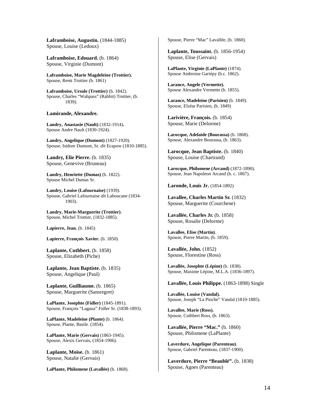**Laframboise, Augustin.** (1844-1885) Spouse, Louise (Ledoux)

**Laframboise, Edouard.** (b. 1864) Spouse, Virginie (Dumont)

**Laframboise, Marie Magdeleine (Trottier).** Spouse, Remi Trottier (b. 1861)

**Laframboise, Ursule (Trottier)** (b. 1842). Spouse, Charles "Wahpass" (Rabbit) Trottier, (b. 1839).

**Lamirande, Alexandre.** 

**Landry, Anastasie (Nault)** (1832-1914)**.**  Spouse Andre Nault (1830-1924).

**Landry, Angelique (Dumont)** (1827-1920). Spouse, Isidore Dumont, Sr. *dit* Ecapow (1810-1885).

**Landry, Elie Pierre.** (b. 1835) Spouse, Genevive (Bruneau)

**Landry, Henriette (Dumas)** (b. 1822). Spouse Michel Dumas Sr.

**Landry, Louise (Lafournaise)** (1939). Spouse, Gabriel Lafournaise *dit* Laboucane (1834- 1903).

**Landry, Marie-Marguerite (Trottier)**. Spouse, Michel Trottier, (1832-1885).

**Lapierre, Jean.** (b. 1845)

**Lapierre, François Xavier.** (b. 1850)

**Laplante, Cuthbert.** (b. 1858) Spouse, Elizabeth (Piche)

**Laplante, Jean Baptiste.** (b. 1835) Spouse, Angelique (Paul)

**Laplante, Guilliaume.** (b. 1865) Spouse, Marguerite (Sansregret)

**LaPlante, Josephte (Fidler)** (1845-1891). Spouse, François "Lagaua" Fidler Sr. (1838-1893).

**LaPlante, Madeleine (Plante)** (b. 1864). Spouse, Plante, Basile. (1854).

**LaPlante, Marie (Gervais)** (1863-1945). Spouse, Alexis Gervais, (1854-1906).

**Laplante, Moïse.** (b. 1861) Spouse, Natalie (Gervais)

**LaPlante, Philomene (Lavallée)** (b. 1868).

Spouse, Pierre "Mac" Lavallée, (b. 1860).

**Laplante, Toussaint.** (b. 1856-1954) Spouse, Elise (Gervais)

**LaPlante, Virginie (LaPlante)** (1874). Spouse Ambroise Gariépy (b.c. 1862).

**Larance, Angele (Vermette).**  Spouse Alexandre Vermette (b. 1855).

**Larance, Madeleine (Parisien)** (b. 1849). Spouse, Elzéar Parisien, (b. 1849)

**Larivière, François.** (b. 1854) Spouse, Marie (Delorme)

**Larocque, Adelaide (Bourassa)** (b. 1868). Spouse, Alexandre Bourassa, (b. 1863).

**Larocque, Jean Baptiste.** (b. 1840) Spouse, Louise (Chartrand)

**Larocque, Philomene (Arcand)** (1872-1890). Spouse, Jean Napoleon Arcand (b. c. 1867).

**Laronde, Louis Jr.** (1854-1892)

**Lavallee, Charles Martin Sr.** (1832) Spouse, Marguerite (Courchene)

**Lavallée, Charles Jr.** (b. 1858) Spouse, Rosalie (Delorme)

**Lavallee, Elise (Martin)**. Spouse, Pierre Martin, (b. 1859).

**Lavallée, John.** (1852) Spouse, Florestine (Ross)

**Lavallée, Josephte (Lépine)** (b. 1838). Spouse, Maxime Lépine, M.L.A. (1836-1897).

**Lavallée, Louis Philippe.** (1863-1898) Single

**Lavallée, Louise (Vandal).** Spouse, Joseph "La Pioche" Vandal (1810-1885).

**Lavallee, Marie (Ross).**  Spouse, Cuthbert Ross, (b. 1863).

**Lavallée, Pierre "Mac."** (b. 1860) Spouse, Philomene (LaPlante)

**Laverdure, Angelique (Parenteau)**. Spouse, Gabriel Parenteau, (1837-1900).

**Laverdure, Pierre "Beaublé".** (b. 1838) Spouse, Agnes (Parenteau)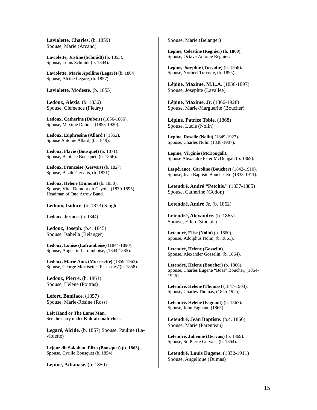**Laviolette, Charles.** (b. 1859) Spouse, Marie (Arcand)

**Laviolette, Justine (Schmidt)** (b. 1853)**.**  Spouse, Louis Schmidt (b. 1844).

**Laviolette, Marie Apolline (Legaré)** (b. 1864). Spouse, Alcide Legaré, (b. 1857).

**Laviolette, Modeste.** (b. 1855)

**Ledoux, Alexis.** (b. 1836) Spouse, Clemence (Fleury)

**Ledoux, Catherine (Dubois)** (1856-1886). Spouse, Maxime Dubois, (1853-1920).

**Ledoux, Euphrosine (Allard )** (1852). Spouse Antoine Allard, (b. 1849).

**Ledoux, Flavie (Bousquet)** (b. 1871). Spouse, Baptiste Bousquet, (b. 1866).

**Ledoux, Francoise (Gervais)** (b. 1827). Spouse, Bazile Gervais, (b. 1821).

**Ledoux, Helene (Dumont)** (b. 1850)**.** Spouse, Vital Dumont dit Cayole, (1830-1895), Headman of One Arrow Band.

Ledoux, Isidore. (b. 1873) Single

**Ledoux, Jerome.** (b. 1844)

**Ledoux, Joseph.** (b.c. 1845) Spouse, Isabella (Belanger)

**Ledoux, Louise (Laframboise)** (1844-1890). Spouse, Augustin Laframboise, (1844-1885).

**Ledoux, Marie Ann, (Morrisette)** (1859-1963). Spouse, George Morrisette "Pi-ka-ties"(b. 1858).

**Ledoux, Pierre.** (b. 1861) Spouse, Helene (Poitras)

**Lefort, Boniface.** (1857) Spouse, Marie-Rosine (Ross)

**Left Hand or The Lame Man.**  See the entry under **Koh-ah-mah-chee.** 

**Legaré, Alcide.** (b. 1857) Spouse, Pauline (Laviolette)

**Lejour dit Sakaban, Eliza (Bousquet) (b. 1863).**  Spouse, Cyrille Bousquet (b. 1854).

**Lépine, Athanase.** (b. 1850)

Spouse, Marie (Belanger)

**Lepine, Celestine (Regnier) (b. 1860)**, Spouse, Octave Antoine Regnier.

**Lepine, Josephte (Turcotte)** (b. 1858). Spouse, Norbert Turcotte, (b. 1855).

**Lépine, Maxime, M.L.A.** (1836-1897) Spouse, Josephte (Lavallee)

**Lépine, Maxime, Jr.** (1866-1928) Spouse, Marie-Marguerite (Boucher)

**Lépine, Patrice Tobie.** (1868) Spouse, Lucie (Nolin)

**Lepine, Rosalie (Nolin)** (1849-1927)**.**  Spouse, Charles Nolin (1838-1907).

**Lepine, Virginie (McDougall).**  Spouse Alexandre Peter McDougall (b. 1869).

**Lespérance, Caroline (Boucher)** (1842-1910). Spouse, Jean Baptiste Boucher Sr. (1838-1911).

**Letendré, André "Petchis."** (1837-1885) Spouse, Catherine (Godon)

**Letendré, André Jr.** (b. 1862)

**Letendré, Alexandre.** (b. 1865) Spouse, Ellen (Sinclair)

**Letendré, Elise (Nolin)** (b. 1860). Spouse, Adolphus Nolin, (b. 1861).

**Letendré, Helene (Gosselin)**. Spouse, Alexander Gosselin, (b. 1864).

**Letendré, Helene (Boucher)** (b. 1866). Spouse, Charles Eugene "Boss" Boucher, (1864- 1926).

**Letendré, Helene (Thomas)** (1847-1903). Spouse, Charles Thomas, (1845-1925).

**Letendré, Helene (Fagnant)** (b. 1867). Spouse, John Fagnant, (1865).

**Letendré, Jean Baptiste.** (b.c. 1866) Spouse, Marie (Parenteau)

**Letendré, Julienne (Gervais)** (b. 1869). Spouse, St. Pierre Gervais, (b. 1864).

**Letendré, Louis Eugene.** (1832-1911) Spouse, Angelique (Dumas)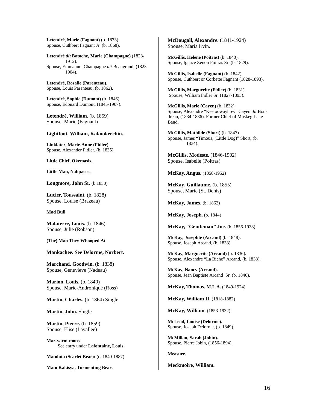**Letendré, Marie (Fagnant)** (b. 1873). Spouse, Cuthbert Fagnant Jr. (b. 1868).

**Letendré** *dit* **Batoche, Marie (Champagne)** (1823- 1912). Spouse, Emmanuel Champagne *dit* Beaugrand, (1823- 1904).

**Letendré, Rosalie (Parenteau).** Spouse, Louis Parenteau, (b. 1862).

**Letendré, Sophie (Dumont)** (b. 1846). Spouse, Edouard Dumont, (1845-1907).

**Letendré, William.** (b. 1859) Spouse, Marie (Fagnant)

#### **Lightfoot, William, Kakookeechin.**

**Linklater, Marie-Anne (Fidler).** Spouse, Alexander Fidler, (b. 1835).

**Little Chief, Okemasis.**

**Little Man, Nahpaces.** 

**Longmore, John Sr.** (b.1850)

**Lucier, Toussaint.** (b. 1828) Spouse, Louise (Brazeau)

**Mad Bull** 

**Malaterre, Louis.** (b. 1846) Spouse, Julie (Robson)

**(The) Man They Whooped At.** 

#### **Mankachee. See Delorme, Norbert.**

**Marchand, Goodwin.** (b. 1838) Spouse, Genevieve (Nadeau)

**Marion, Louis.** (b. 1840) Spouse, Marie-Andronique (Ross)

Martin, Charles. (b. 1864) Single

**Martin, John.** Single

**Martin, Pierre.** (b. 1859) Spouse, Elise (Lavallee)

**Mar-yarm-mons.**  See entry under **Lafontaine, Louis**.

**Matoluta (Scarlet Bear):** (c. 1840-1887)

**Mato Kakisya, Tormenting Bear.** 

**McDougall, Alexandre.** (1841-1924) Spouse, Maria Irvin.

**McGillis, Helene (Poitras)** (b. 1840). Spouse, Ignace Zenon Poitras Sr. (b. 1829).

**McGillis, Isabelle (Fagnant)** (b. 1842). Spouse, Cuthbert or Corbette Fagnant (1828-1893).

**McGillis, Marguerite (Fidler)** (b. 1831). Spouse, William Fidler Sr. (1827-1895).

**McGillis, Marie (Cayen)** (b. 1832). Spouse, Alexandre "Keetoowayhow" Cayen *dit* Boudreau, (1834-1886). Former Chief of Muskeg Lake Band.

**McGillis, Mathilde (Short)** (b. 1847). Spouse, James "Timous, (Little Dog)" Short, (b. 1834).

**McGillis, Modeste.** (1846-1902) Spouse, Isabelle (Poitras)

**McKay, Angus.** (1858-1952)

**McKay, Guillaume.** (b. 1855) Spouse, Marie (St. Denis)

**McKay, James.** (b. 1862)

**McKay, Joseph.** (b. 1844)

**McKay, "Gentleman" Joe.** (b. 1856-1938)

**McKay, Josephte (Arcand)** (b. 1848). Spouse, Joseph Arcand, (b. 1833).

**McKay, Marguerite (Arcand)** (b. 1836)**.** Spouse, Alexandre "La Biche" Arcand, (b. 1838).

**McKay, Nancy (Arcand).** Spouse, Jean Baptiste Arcand Sr. (b. 1840).

**McKay, Thomas, M.L.A.** (1849-1924)

**McKay, William II.** (1818-1882)

**McKay, William.** (1853-1932)

**McLeod, Louise (Delorme).** Spouse, Joseph Delorme, (b. 1849).

**McMillan, Sarah (Jobin).** Spouse, Pierre Jobin, (1856-1894).

**Measure.**

**Meckmoire, William.**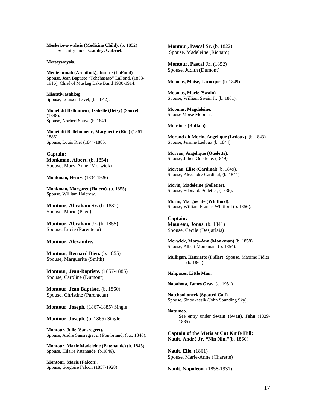**Meskeke-a-wahsis (Medicine Child).** (b. 1852) See entry under **Gaudry, Gabriel.** 

**Mettaywaysis.** 

**Meutekumah (Archibuk), Josette (LaFond)**. Spouse, Jean Baptiste "Tchehasaso" LaFond, (1853- 1916), Chief of Muskeg Lake Band 1900-1914:

**Missatiwasahkeg.** Spouse, Louison Favel, (b. 1842).

**Monet dit Belhumeur, Isabelle (Betsy) (Sauve).**  (1848). Spouse, Norbert Sauve (b. 1849.

**Monet dit Bellehumeur, Marguerite (Riel)** (1861- 1886). Spouse, Louis Riel (1844-1885.

**Captain: Monkman, Albert.** (b. 1854) Spouse, Mary-Anne (Morwick)

**Monkman, Henry.** (1834-1926)

**Monkman, Margaret (Halcro).** (b. 1855). Spouse, William Halcrow.

**Montour, Abraham Sr.** (b. 1832) Spouse, Marie (Page)

**Montour, Abraham Jr.** (b. 1855) Spouse, Lucie (Parenteau)

**Montour, Alexandre.** 

**Montour, Bernard Bien.** (b. 1855) Spouse, Marguerite (Smith)

**Montour, Jean-Baptiste.** (1857-1885) Spouse, Caroline (Dumont)

**Montour, Jean Baptiste.** (b. 1860) Spouse, Christine (Parenteau)

**Montour, Joseph.** (1867-1885) Single

**Montour, Joseph.** (b. 1865) Single

**Montour, Julie (Sansregret).**  Spouse, Andre Sansregret *dit* Pontbriand, (b.c. 1846).

**Montour, Marie Madeleine (Patenaude)** (b. 1845). Spouse, Hilaire Patenaude, (b.1846).

**Montour, Marie (Falcon)**. Spouse, Gregoire Falcon (1857-1928). **Montour, Pascal Sr. (b. 1822)** Spouse, Madeleine (Richard)

**Montour, Pascal Jr. (1852)** Spouse, Judith (Dumont)

**Moonias, Moise, Larocque.** (b. 1849)

**Moonias, Marie (Swain)**. Spouse, William Swain Jr. (b. 1861).

**Moonias, Magdeleine.** Spouse Moise Moonias.

**Moostoos (Buffalo).** 

**Morand dit Morin, Angelique (Ledoux)** (b. 1843) Spouse, Jerome Ledoux (b. 1844)

**Moreau, Angelique (Ouelette).** Spouse, Julien Ouellette, (1849).

**Moreau, Elise (Cardinal)** (b. 1849). Spouse, Alexandre Cardinal, (b. 1841).

**Morin, Madeleine (Pelletier)**. Spouse, Edouard. Pelletier, (1836).

**Morin, Marguerite (Whitford)**. Spouse, William Francis Whitford (b. 1856).

**Captain: Moureau, Jonas.** (b. 1841) Spouse, Cecile (Desjarlais)

**Morwick, Mary-Ann (Monkman)** (b. 1858). Spouse, Albert Monkman, (b. 1854).

**Mulligan, Henriette (Fidler)**. Spouse, Maxime Fidler (b. 1864).

**Nahpaces, Little Man.** 

**Napahota, James Gray.** (d. 1951)

**Natchookoneck (Spotted Calf).** Spouse, Sinookeesik (John Sounding Sky).

**Natumeo.**  See entry under **Swain (Swan), John** (1829- 1885)

**Captain of the Metis at Cut Knife Hill: Nault, André Jr. "Nin Nin."**(b. 1860)

**Nault, Elie.** (1861) Spouse, Marie-Anne (Charette)

**Nault, Napoléon.** (1858-1931)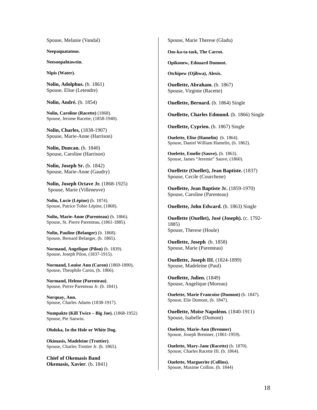Spouse, Melanie (Vandal)

**Neepaquatatous.** 

**Neesoopahtawein.** 

**Nipis (Water).** 

**Nolin, Adolphus.** (b. 1861) Spouse, Elise (Letendre)

**Nolin, André.** (b. 1854)

**Nolin, Caroline (Racette)** (1868). Spouse, Jerome Racette, (1858-1940).

**Nolin, Charles,** (1838-1907) Spouse, Marie-Anne (Harrison)

**Nolin, Duncan.** (b. 1840) Spouse, Caroline (Harrison)

**Nolin, Joseph Sr.** (b. 1842) Spouse, Marie-Anne (Gaudry)

**Nolin, Joseph Octave Jr.** (1868-1925) Spouse, Marie (Villeneuve)

**Nolin, Lucie (Lépine)** (b. 1874). Spouse, Patrice Tobie Lépine, (1868).

**Nolin, Marie-Anne (Parenteau)** (b. 1866). Spouse, St. Pierre Parenteau, (1861-1885).

**Nolin, Pauline (Belanger)** (b. 1868). Spouse, Bernard Belanger, (b. 1865).

**Normand, Angelique (Pilon)** (b. 1839). Spouse, Joseph Pilon, (1837-1915).

**Normand, Louise Ann (Caron)** (1869-1890)**.** Spouse, Theophile Caron, (b. 1866).

**Normand, Helene (Parenteau)**. Spouse, Pierre Parenteau Jr. (b. 1841).

**Norquay, Ann.** Spouse, Charles Adams (1838-1917).

**Numpakte (Kill Twice – Big Joe).** (1868-1952) Spouse, Pte Sanwin.

**Ohdoka, In the Hole or White Dog.** 

**Okimasis, Madeleine (Trottier)**. Spouse, Charles Trottier Jr. (b. 1865).

**Chief of Okemasis Band Okemasis, Xavier**. (b. 1841) Spouse, Marie Therese (Gladu)

**Oos-ka-ta-task, The Carrot.** 

**Opikonew, Edouard Dumont.** 

**Otchipew (Ojibwa), Alexis.** 

**Ouellette, Abraham.** (b. 1867) Spouse, Virginie (Racette)

**Ouellette, Bernard.** (b. 1864) Single

**Ouellette, Charles Edmund.** (b. 1866) Single

**Ouellette, Cyprien.** (b. 1867) Single

**Ouelette, Elise (Hamelin)** (b. 1864). Spouse, Daniel William Hamelin, (b. 1862).

**Ouelette, Emelie (Sauve).** (b. 1863). Spouse, James "Jeremie" Sauve, (1860).

**Ouellette (Ouellet), Jean Baptiste.** (1837) Spouse, Cecile (Courchene)

**Ouellette, Jean Baptiste Jr.** (1859-1970) Spouse, Caroline (Parenteau)

**Ouellette, John Edward.** (b. 1863) Single

**Ouellette (Ouellet), José (Joseph).** (c. 1792- 1885) Spouse, Therese (Houle)

**Ouellette, Joseph** (b. 1858) Spouse, Marie (Parenteau)

**Ouellette, Joseph III.** (1824-1899) Spouse, Madeleine (Paul)

**Ouellette, Julien.** (1849) Spouse, Angelique (Moreau)

**Ouelette, Marie Francoise (Dumont)** (b. 1847). Spouse, Elie Dumont, (b. 1847).

**Ouellette, Moïse Napoléon.** (1840-1911) Spouse, Isabelle (Dumont)

**Ouelette, Marie-Ann (Bremner)** Spouse, Joseph Bremner, (1861-1959).

**Ouelette, Mary-Jane (Racette)** (b. 1870). Spouse, Charles Racette III. (b. 1864).

**Ouelette, Marguerite (Collins).**  Spouse, Maxime Collins. (b. 1844)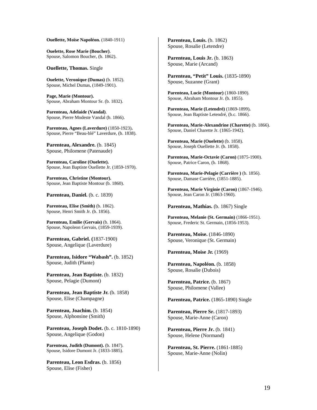**Ouellette, Moïse Napoléon.** (1840-1911)

**Ouelette, Rose Marie (Boucher)**. Spouse, Salomon Boucher, (b. 1862).

**Ouellette, Thomas.** Single

**Ouelette, Veronique (Dumas)** (b. 1852). Spouse, Michel Dumas, (1849-1901).

**Page, Marie (Montour).** Spouse, Abraham Montour Sr. (b. 1832).

**Parenteau, Adelaide (Vandal)**. Spouse, Pierre Modeste Vandal (b. 1866).

**Parenteau, Agnes (Laverdure)** (1850-1923)**.** Spouse, Pierre "Beau-blé" Laverdure, (b. 1838).

**Parenteau, Alexandre.** (b. 1845) Spouse, Philomene (Patenaude)

**Parenteau, Caroline (Ouelette).** Spouse, Jean Baptiste Ouellette Jr. (1859-1970).

**Parenteau, Christine (Montour).** Spouse, Jean Baptiste Montour (b. 1860).

**Parenteau, Daniel.** (b. c. 1839)

**Parenteau, Elise (Smith)** (b. 1862). Spouse, Henri Smith Jr. (b. 1856).

**Parenteau, Emilie (Gervais)** (b. 1864). Spouse, Napoleon Gervais, (1859-1939).

**Parenteau, Gabriel. (**1837-1900) Spouse, Angelique (Laverdure)

Parenteau, Isidore "Wabash". (b. 1852) Spouse, Judith (Plante)

**Parenteau, Jean Baptiste.** (b. 1832) Spouse, Pelagie (Dumont)

**Parenteau, Jean Baptiste Jr.** (b. 1858) Spouse, Elise (Champagne)

**Parenteau, Joachim.** (b. 1854) Spouse, Alphonsine (Smith)

**Parenteau, Joseph Dodet.** (b. c. 1810-1890) Spouse, Angelique (Godon)

Parenteau, Judith (Dumont). (b. 1847). Spouse, Isidore Dumont Jr. (1833-1885).

Parenteau, Leon Esdras. (b. 1856) Spouse, Elise (Fisher)

**Parenteau, Louis.** (b. 1862) Spouse, Rosalie (Letendre)

**Parenteau, Louis Jr.** (b. 1863) Spouse, Marie (Arcand)

**Parenteau, "Petit" Louis.** (1835-1890) Spouse, Suzanne (Grant)

**Parenteau, Lucie (Montour)** (1860-1890). Spouse, Abraham Montour Jr. (b. 1855).

**Parenteau, Marie (Letendré)** (1869-1899)**.** Spouse, Jean Baptiste Letendré, (b.c. 1866).

**Parenteau, Marie-Alexandrine (Charette)** (b. 1866). Spouse, Daniel Charette Jr. (1865-1942).

**Parenteau, Marie (Ouelette)** (b. 1858). Spouse, Joseph Ouellette Jr. (b. 1858).

**Parenteau, Marie-Octavie (Caron)** (1875-1900). Spouse, Patrice Caron, (b. 1868).

Parenteau, Marie-Pelagie (Carrière ) (b. 1856). Spouse, Damase Carrière, (1851-1885).

**Parenteau, Marie Virginie (Caron)** (1867-1946). Spouse, Jean Caron Jr. (1863-1960).

Parenteau, Mathias. (b. 1867) Single

**Parenteau, Melanie (St. Germain)** (1866-1951). Spouse, Frederic St. Germain, (1856-1953).

**Parenteau, Moïse.** (1846-1890) Spouse, Veronique (St. Germain)

**Parenteau, Moise Jr.** (1969)

**Parenteau, Napoléon.** (b. 1858) Spouse, Rosalie (Dubois)

Parenteau, Patrice. (b. 1867) Spouse, Philomene (Vallee)

Parenteau, Patrice. (1865-1890) Single

**Parenteau, Pierre Sr.** (1817-1893) Spouse, Marie-Anne (Caron)

**Parenteau, Pierre Jr.** (b. 1841) Spouse, Helene (Normand)

**Parenteau, St. Pierre.** (1861-1885) Spouse, Marie-Anne (Nolin)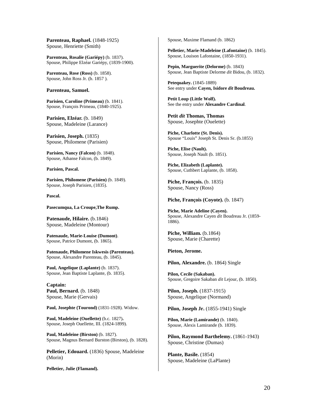**Parenteau, Raphael.** (1848-1925) Spouse, Henriette (Smith)

**Parenteau, Rosalie (Gariépy)** (b. 1837). Spouse, Philippe Elzéar Gariépy, (1839-1900).

**Parenteau, Rose (Ross)** (b. 1858). Spouse, John Ross Jr. (b. 1857 ).

#### **Parenteau, Samuel.**

**Parisien, Caroline (Primeau)** (b. 1841). Spouse, François Primeau, (1840-1925).

**Parisien, Elzéar.** (b. 1849) Spouse, Madeleine (Larance)

**Parisien, Joseph.** (1835) Spouse, Philomene (Parisien)

**Parisien, Nancy (Falcon)** (b. 1848). Spouse, Athanse Falcon, (b. 1849).

**Parisien, Pascal.** 

**Parisien, Philomene (Parisien)** (b. 1849). Spouse, Joseph Parisien, (1835).

**Pascal.** 

**Pasecumqua, La Croupe,The Rump.** 

Patenaude, Hilaire. (b.1846) Spouse, Madeleine (Montour)

**Patenaude, Marie-Louise (Dumont)**. Spouse, Patrice Dumont, (b. 1865).

**Patenaude, Philomene Iskwesis (Parenteau).**  Spouse, Alexandre Parenteau, (b. 1845).

Paul, Angelique (Laplante) (b. 1837). Spouse, Jean Baptiste Laplante, (b. 1835).

**Captain: Paul, Bernard.** (b. 1848) Spouse, Marie (Gervais)

Paul, Josephte (Tourond) (1831-1928). Widow.

**Paul, Madeleine (Ouellette)** (b.c. 1827)**.** Spouse, Joseph Ouellette, III. (1824-1899).

**Paul, Madeleine (Birston)** (b. 1827). Spouse, Magnus Bernard Burston (Birston), (b. 1828).

**Pelletier, Edouard.** (1836) Spouse, Madeleine (Morin)

**Pelletier, Julie (Flamand).** 

Spouse, Maxime Flamand (b. 1862)

**Pelletier, Marie-Madeleine (Lafontaine)** (b. 1845). Spouse, Louison Lafontaine, (1850-1931).

**Pepin, Marguerite (Delorme)** (b. 1843) Spouse, Jean Baptiste Delorme *dit* Bidou, (b. 1832).

**Petequakey.** (1845-1889) See entry under **Cayen, Isidore** *dit* **Boudreau.** 

**Petit Loup (Little Wolf).**  See the entry under **Alexandre Cardinal**.

**Petit** *dit* **Thomas, Thomas**  Spouse, Josephte (Ouelette)

**Piche, Charlotte (St. Denis).**  Spouse "Louis" Joseph St. Denis Sr. (b.1855)

**Piche, Elise (Nault).** Spouse, Joseph Nault (b. 1851).

**Piche, Elizabeth (Laplante).** Spouse, Cuthbert Laplante, (b. 1858).

**Piche, François.** (b. 1835) Spouse, Nancy (Ross)

**Piche, François (Coyote).** (b. 1847)

**Piche, Marie Adeline (Cayen).** Spouse, Alexandre Cayen *dit* Boudreau Jr. (1859- 1886).

**Piche, William.** (b.1864) Spouse, Marie (Charette)

**Pieton, Jerome.** 

Pilon, Alexandre. (b. 1864) Single

**Pilon, Cecile (Sakaban).** Spouse, Gregoire Sakaban *dit* Lejour, (b. 1850).

**Pilon, Joseph.** (1837-1915) Spouse, Angelique (Normand)

**Pilon, Joseph Jr.** (1855-1941) Single

**Pilon, Marie (Lamirande)** (b. 1840). Spouse, Alexis Lamirande (b. 1839).

**Pilon, Raymond Barthelemy.** (1861-1943) Spouse, Christine (Dumas)

**Plante, Basile.** (1854) Spouse, Madeleine (LaPlante)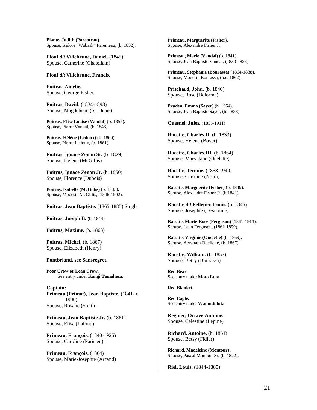**Plante, Judith (Parenteau)**. Spouse, Isidore "Wabash" Parenteau, (b. 1852).

**Plouf** *dit* **Villebrune, Daniel.** (1845) Spouse, Catherine (Chatellain)

#### **Plouf** *dit* **Villebrune, Francis.**

**Poitras, Amelie.**  Spouse, George Fisher.

**Poitras, David.** (1834-1898) Spouse, Magdeliene (St. Denis)

**Poitras, Elise Louise (Vandal)** (b. 1857)**.** Spouse, Pierre Vandal, (b. 1848).

**Poitras, Hélène (Ledoux)** (b. 1860). Spouse, Pierre Ledoux, (b. 1861).

**Poitras, Ignace Zenon Sr.** (b. 1829) Spouse, Helene (McGillis)

**Poitras, Ignace Zenon Jr.** (b. 1850) Spouse, Florence (Dubois)

**Poitras, Isabelle (McGillis)** (b. 1843)**.** Spouse, Modeste McGillis, (1846-1902).

Poitras, Jean Baptiste. (1865-1885) Single

**Poitras, Joseph B.** (b. 1844)

**Poitras, Maxime.** (b. 1863)

**Poitras, Michel.** (b. 1867) Spouse, Elizabeth (Henry)

#### **Pontbriand, see Sansregret.**

**Poor Crow or Lean Crow.**  See entry under **Kangi Tamaheca.** 

**Captain: Primeau (Primot), Jean Baptiste.** (1841- c. 1900) Spouse, Rosalie (Smith)

**Primeau, Jean Baptiste Jr.** (b. 1861) Spouse, Elisa (Lafond)

**Primeau, François.** (1840-1925) Spouse, Caroline (Parisien)

**Primeau, François.** (1864) Spouse, Marie-Josephte (Arcand)

**Primeau, Marguerite (Fisher).**  Spouse, Alexandre Fisher Jr.

**Primeau, Marie (Vandal)** (b. 1841). Spouse, Jean Baptiste Vandal, (1830-1888).

**Primeau, Stephanie (Bourassa)** (1864-1888). Spouse, Modeste Bourassa, (b.c. 1862).

**Pritchard, John.** (b. 1840) Spouse, Rose (Delorme)

**Pruden, Emma (Sayer)** (b. 1854)**.** Spouse, Jean Baptiste Sayer, (b. 1853).

**Quesnel. Jules.** (1855-1911)

**Racette, Charles II.** (b. 1833) Spouse, Helene (Boyer)

**Racette, Charles III.** (b. 1864) Spouse, Mary-Jane (Ouelette)

**Racette, Jerome.** (1858-1940) Spouse, Caroline (Nolin)

**Racette, Marguerite (Fisher)** (b. 1849). Spouse, Alexandre Fisher Jr. (b.1841).

**Racette** *dit* **Pelletier, Louis.** (b. 1845) Spouse, Josephte (Desnomie)

**Racette, Marie-Rose (Ferguson)** (1861-1913). Spouse, Leon Ferguson, (1861-1899).

**Racette, Virginie (Ouelette)** (b. 1869)**.** Spouse, Abraham Ouellette, (b. 1867).

**Racette, William.** (b. 1857) Spouse, Betsy (Bourassa)

**Red Bear.**  See entry under **Mato Luto.**

#### **Red Blanket.**

**Red Eagle.**  See entry under **Wanmdiduta** 

**Regnier, Octave Antoine.** Spouse, Celestine (Lepine)

**Richard, Antoine.** (b. 1851) Spouse, Betsy (Fidler)

**Richard, Madeleine (Montour)** . Spouse, Pascal Montour Sr. (b. 1822).

**Riel, Louis.** (1844-1885)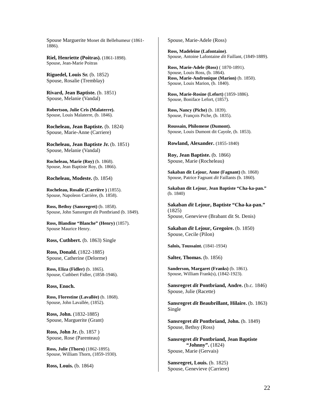Spouse Marguerite Monet dit Bellehumeur (1861- 1886).

**Riel, Henriette (Poitras).** (1861-1898). Spouse, Jean-Marie Poitras

**Riguedel, Louis Sr.** (b. 1852) Spouse, Rosalie (Tremblay)

**Rivard, Jean Baptiste.** (b. 1851) Spouse, Melanie (Vandal)

**Robertson, Julie Cris (Malaterre).** Spouse, Louis Malaterre, (b. 1846).

**Rocheleau, Jean Baptiste.** (b. 1824) Spouse, Marie-Anne (Carriere)

**Rocheleau, Jean Baptiste Jr.** (b. 1851) Spouse, Melanie (Vandal)

**Rocheleau, Marie (Roy)** (b. 1868). Spouse, Jean Baptiste Roy, (b. 1866).

**Rocheleau, Modeste.** (b. 1854)

**Rocheleau, Rosalie (Carrière )** (1855). Spouse, Napoleon Carrière, (b. 1858).

**Ross, Bethsy (Sansregret)** (b. 1858). Spouse, John Sansregret *dit* Pontbriand (b. 1849).

**Ross, Blandine "Blanche" (Henry)** (1857). Spouse Maurice Henry.

**Ross, Cuthbert.** (b. 1863) Single

**Ross, Donald.** (1822-1885) Spouse, Catherine (Delorme)

**Ross, Eliza (Fidler)** (b. 1865). Spouse, Cuthbert Fidler, (1858-1946).

#### **Ross, Enoch.**

**Ross, Florestine (Lavallée)** (b. 1868). Spouse, John Lavallée, (1852).

**Ross, John.** (1832-1885) Spouse, Marguerite (Grant)

**Ross, John Jr.** (b. 1857 ) Spouse, Rose (Parenteau)

**Ross, Julie (Thorn)** (1862-1895). Spouse, William Thorn, (1859-1930).

**Ross, Louis.** (b. 1864)

Spouse, Marie-Adele (Ross)

**Ross, Madeleine (Lafontaine)**. Spouse, Antoine Lafontaine *dit* Faillant, (1849-1889).

**Ross, Marie-Adele (Ross)** ( 1870-1891). Spouse, Louis Ross, (b. 1864). **Ross, Marie-Andronique (Marion)** (b. 1850). Spouse, Louis Marion, (b. 1840).

**Ross, Marie-Rosine (Lefort)** (1859-1886). Spouse, Boniface Lefort, (1857).

**Ross, Nancy (Piche)** (b. 1839). Spouse, François Piche, (b. 1835).

**Roussain, Philomene (Dumont).** Spouse, Louis Dumont dit Cayole, (b. 1853).

**Rowland, Alexander.** (1855-1840)

**Roy, Jean Baptiste.** (b. 1866) Spouse, Marie (Rocheleau)

**Sakaban dit Lejour, Anne (Fagnant)** (b. 1868) Spouse, Patrice Fagnant *dit* Faillants (b. 1860).

**Sakaban dit Lejour, Jean Baptiste "Cha-ka-pan."**  (b. 1840)

**Sakaban** *dit* **Lejour, Baptiste "Cha-ka-pan."**  (1825) Spouse, Genevieve (Brabant dit St. Denis)

**Sakaban** *dit* **Lejour, Gregoire.** (b. 1850) Spouse, Cecile (Pilon)

**Salois, Toussaint.** (1841-1934)

**Salter, Thomas.** (b. 1856)

**Sanderson, Margaret (Franks)** (b. 1861). Spouse, William Frank(s), (1842-1923).

**Sansregret** *dit* **Pontbriand, Andre.** (b.c. 1846) Spouse, Julie (Racette)

**Sansregret** *dit* **Beaubrillant, Hilaire.** (b. 1863) Single

**Sansregret** *dit* **Pontbriand, John.** (b. 1849) Spouse, Bethsy (Ross)

**Sansregret** *dit* **Pontbriand, Jean Baptiste "Johnny".** (1824) Spouse, Marie (Gervais)

**Sansregret, Louis.** (b. 1825) Spouse, Genevieve (Carriere)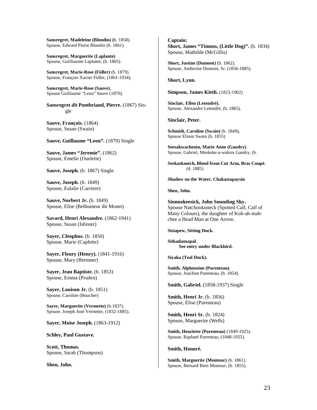**Sansregret, Madeleine (Blondin) (**b. 1858). Spouse, Edward Pierre Blondin (b. 1861).

**Sansregret, Marguerite (Laplante)** Spouse, Guilliaume Laplante, (b. 1865).

**Sansregret, Marie-Rose (Fidler)** (b. 1879). Spouse, François Xavier Fidler, (1861-1934).

**Sansregret, Marie-Rose (Sauve).**  Spouse Guillaume "Leon" Sauve (1870).

**Sansregret** *dit* **Pontbriand, Pierre.** (1867) Single

**Sauve, François.** (1864) Spouse, Susan (Swain)

**Sauve, Guillaume "Leon".** (1870) Single

**Sauve, James "Jeremie".** (1862) Spouse, Emelie (Ouelette)

**Sauve, Joseph.** (b. 1867) Single

**Sauve, Joseph.** (b. 1849) Spouse, Eulalie (Carriere)

**Sauve, Norbert Jr.** (b. 1849) Spouse, Elise (Belhumeur dit Monet)

**Savard, Henri Alexandre.** (1862-1941) Spouse, Susan (Isbister)

**Sayer, Cleophus.** (b. 1850) Spouse, Marie (Caplette)

**Sayer, Fleury (Henry).** (1841-1916) Spouse, Mary (Bremner)

**Sayer, Jean Baptiste.** (b. 1853) Spouse, Emma (Pruden)

**Sayer, Louison Jr.** (b. 1851) Spouse, Caroline (Boucher)

**Sayer, Marguerite (Vermette)** (b.1837). Spouse, Joseph José Vermette, (1832-1885).

**Sayer, Moise Joseph.** (1863-1912)

**Schley, Paul Gustave.** 

**Scott, Thomas.**  Spouse, Sarah (Thompson)

**Shen, John.** 

## **Captain:**

**Short, James "Timous, (Little Dog)".** (b. 1834) Spouse, Mathilde (McGillis)

**Short, Justine (Dumont)** (b. 1862). Spouse, Ambroise Dumont, Sr. (1856-1885).

#### **Short, Lynn.**

**Simpson, James Kieth.** (1823-1902)

**Sinclair, Ellen (Letendré).**  Spouse, Alexandre Letendré, (b. 1865).

**Sinclair, Peter.** 

**Schmidt, Caroline (Swain)** (b. 1849)**.** Spouse Elzear Swain (b. 1855)

**Seesakwachenin, Marie Anne (Gaudry)**. Spouse, Gabriel, Meskeke-a-wahsis Gaudry, (b.

**Seekaskootch, Blood from Cut Arm, Bras Coupé.**  (d. 1885)

**Shadow on the Water, Chakastapaysin**

**Shen, John.** 

**Sinnookeesick, John Sounding Sky.**  Spouse Natchookoneck (Spotted Calf, Calf of Many Colours), the daughter of Koh-ah-mahchee a Head Man at One Arrow.

**Sisiapew, Sitting Duck.** 

**Sitkadansapal. See entry under Blackbird.** 

**Siyaka (Teal Duck).** 

**Smith, Alphonsine (Parenteau).** Spouse, Joachim Parenteau, (b. 1854).

**Smith, Gabriel.** (1858-1937) Single

**Smith, Henri Jr.** (b. 1856) Spouse, Elise (Parenteau)

**Smith, Henri Sr.** (b. 1824) Spouse, Marguerite (Wells)

**Smith, Henriette (Parenteau)** (1849-1925). Spouse, Raphael Parenteau, (1848-1925).

**Smith, Honoré.** 

**Smith, Marguerite (Montour)** (b. 1861). Spouse, Bernard Bien Montour, (b. 1855).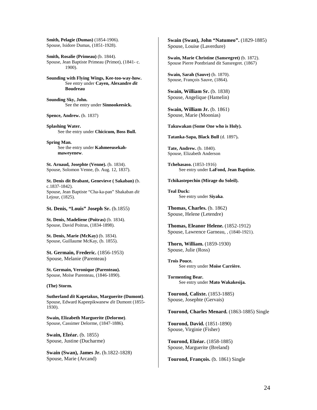**Smith, Pelagie (Dumas)** (1854-1906). Spouse, Isidore Dumas, (1851-1928).

**Smith, Rosalie (Primeau)** (b. 1844). Spouse, Jean Baptiste Primeau (Primot), (1841- c. 1900).

**Sounding with Flying Wings, Kee-too-way-how.**  See entry under **Cayen, Alexandre** *dit*  **Boudreau**

**Sounding Sky, John.**  See the entry under **Sinnookeesick.**

**Spence, Andrew.** (b. 1837)

**Splashing Water.**  See the entry under **Chicicum, Boss Bull.** 

**Spring Man.**  See the entry under **Kahmeeusekahmaweyenew**.

**St. Arnaud, Josephte (Venne).** (b. 1834). Spouse, Solomon Venne, (b. Aug. 12, 1837).

**St. Denis dit Brabant, Genevieve ( Sakaban)** (b. c.1837-1842). Spouse, Jean Baptiste "Cha-ka-pan" Shakaban *dit*  Lejour, (1825).

**St. Denis, "Louis" Joseph Sr.** (b.1855)

**St. Denis, Madeliene (Poitras)** (b. 1834). Spouse, David Poitras, (1834-1898).

**St. Denis, Marie (McKay)** (b. 1834). Spouse, Guillaume McKay, (b. 1855).

**St. Germain, Frederic.** (1856-1953) Spouse, Melanie (Parenteau)

**St. Germain, Veronique (Parenteau).** Spouse, Moïse Parenteau, (1846-1890).

#### **(The) Storm.**

**Sutherland** *dit* **Kapetakus, Marguerite (Dumont)**. Spouse, Edward Kapeepikwanew *dit* Dumont (1855- 1930).

**Swain, Elizabeth Marguerite (Delorme)**. Spouse, Cassimer Delorme, (1847-1886).

**Swain, Elzéar.** (b. 1855) Spouse, Justine (Ducharme)

**Swain (Swan), James Jr.** (b.1822-1828) Spouse, Marie (Arcand)

**Swain (Swan), John "Natumeo".** (1829-1885) Spouse, Louise (Laverdure)

**Swain, Marie Christine (Sansregret)** (b. 1872). Spouse Pierre Pontbriand dit Sansregret. (1867)

**Swain, Sarah (Sauve)** (b. 1870). Spouse, François Sauve, (1864).

**Swain, William Sr.** (b. 1838) Spouse, Angelique (Hamelin)

**Swain, William Jr.** (b. 1861) Spouse, Marie (Moonias)

**Takuwakan (Some One who is Holy).** 

**Tatanka-Sapa, Black Bull** (d. 1897)**.** 

**Tate, Andrew.** (b. 1840). Spouse, Elizabeth Anderson

**Tchehasaso.** (1853-1916) See entry under **LaFond, Jean Baptiste.** 

**Tchikastepechin (Mirage du Soleil).** 

**Teal Duck:** See entry under **Siyaka**.

**Thomas, Charles.** (b. 1862) Spouse, Helene (Letendre)

**Thomas, Eleanor Helene.** (1852-1912) Spouse, Lawrence Garneau, , (1840-1921).

**Thorn, William.** (1859-1930) Spouse, Julie (Ross)

**Trois Pouce.**  See entry under **Moïse Carrière.**

**Tormenting Bear.**  See entry under **Mato Wakakesija.** 

**Tourond, Calixte.** (1853-1885) Spouse, Josephte (Gervais)

**Tourond, Charles Menard.** (1863-1885) Single

**Tourond, David.** (1851-1890) Spouse, Virginie (Fisher)

**Tourond, Elzéar.** (1858-1885) Spouse, Marguerite (Breland)

**Tourond, François.** (b. 1861) Single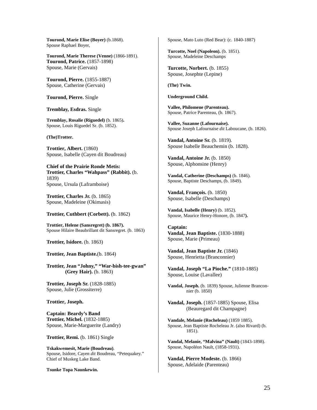**Tourond, Marie Elise (Boyer)** (b.1868). Spouse Raphael Boyer,

**Tourond, Marie Therese (Venne)** (1866-1891). **Tourond, Patrice.** (1857-1898) Spouse, Marie (Gervais)

**Tourond, Pierre.** (1855-1887) Spouse, Catherine (Gervais)

**Tourond, Pierre.** Single

**Tremblay, Esdras.** Single

**Tremblay, Rosalie (Riguedel)** (b. 1865)**.** Spouse, Louis Riguedel Sr. (b. 1852).

**(The)Trotter.** 

**Trottier, Albert.** (1860) Spouse, Isabelle (Cayen dit Boudreau)

**Chief of the Prairie Ronde Metis: Trottier, Charles "Wahpass" (Rabbit).** (b. 1839) Spouse, Ursula (Laframboise)

**Trottier, Charles Jr.** (b. 1865) Spouse, Madeleine (Okimasis)

**Trottier, Cuthbert (Corbett).** (b. 1862)

**Trottier, Helene (Sansregret) (b. 1867).**  Spouse Hilaire Beaubrillant dit Sansregret. (b. 1863)

**Trottier, Isidore.** (b. 1863)

#### **Trottier, Jean Baptiste.**(b. 1864)

**Trottier, Jean "Johny," "War-bish-tee-gwan" (Grey Hair).** (b. 1863)

**Trottier, Joseph Sr.** (1828-1885) Spouse, Julie (Grossiterre)

**Trottier, Joseph.** 

**Captain: Beardy's Band Trottier, Michel.** (1832-1885) Spouse, Marie-Marguerite (Landry)

**Trottier, Remi.** (b. 1861) Single

**Tskakwemesit, Marie (Boudreau)**. Spouse, Isidore, Cayen *dit* Boudreau, "Petequakey." Chief of Muskeg Lake Band.

**Tsunke Topa Naunkewin.**

Spouse, Mato Luto (Red Bear): (c. 1840-1887)

**Turcotte, Noel (Napoleon).** (b. 1851). Spouse, Madeleine Deschamps

**Turcotte, Norbert.** (b. 1855) Spouse, Josephte (Lepine)

**(The) Twin.** 

**Underground Child.** 

**Vallee, Philomene (Parenteau).**  Spouse, Patrice Parenteau, (b. 1867).

**Vallee, Suzanne (Lafournaise).** Spouse Joseph Lafournaise *dit* Laboucane, (b. 1826).

**Vandal, Antoine Sr.** (b. 1819). Spouse Isabelle Beauchemin (b. 1828).

**Vandal, Antoine Jr.** (b. 1850) Spouse, Alphonsine (Henry)

**Vandal, Catherine (Deschamps)** (b. 1846). Spouse, Baptiste Deschamps, (b. 1849).

**Vandal, François.** (b. 1850) Spouse, Isabelle (Deschamps)

**Vandal, Isabelle (Henry)** (b. 1852). Spouse, Maurice Henry-Honore, (b. 1847**).** 

**Captain: Vandal, Jean Baptiste.** (1830-1888) Spouse, Marie (Primeau)

**Vandal, Jean Baptiste Jr.** (1846) Spouse, Henrietta (Branconnier)

**Vandal, Joseph "La Pioche."** (1810-1885) Spouse, Louise (Lavallee)

**Vandal, Joseph.** (b. 1839) Spouse, Julienne Branconnier (b. 1850)

**Vandal, Joseph.** (1857-1885) Spouse, Elisa (Beauregard dit Champagne)

**Vandale, Melanie (Rocheleau)** (1859 1885). Spouse, Jean Baptiste Rocheleau Jr. (also Rivard) (b. 1851).

**Vandal, Melanie, "Malvina" (Nault)** (1843-1898). Spouse, Napoléon Nault, (1858-1931).

**Vandal, Pierre Modeste.** (b. 1866) Spouse, Adelaide (Parenteau)